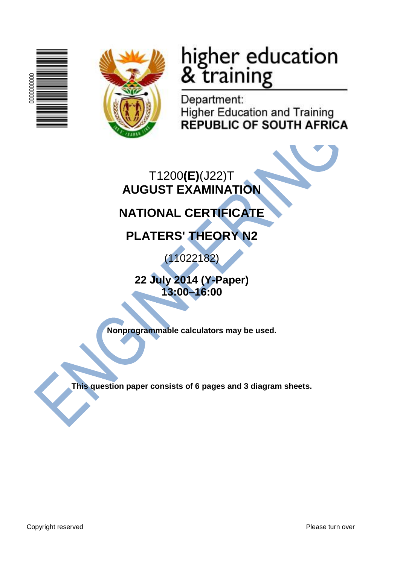



# higher education<br>& training

Department: **Higher Education and Training REPUBLIC OF SOUTH AFRICA** 

T1200**(E)**(J22)T **AUGUST EXAMINATION**

## **NATIONAL CERTIFICATE**

**PLATERS' THEORY N2**

(11022182)

**22 July 2014 (Y-Paper) 13:00–16:00**

**Nonprogrammable calculators may be used.**

**This question paper consists of 6 pages and 3 diagram sheets.**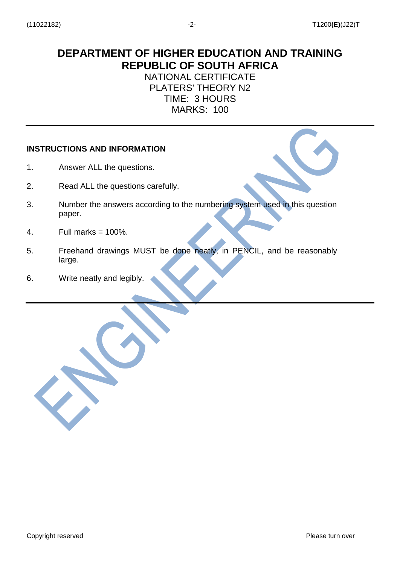### **DEPARTMENT OF HIGHER EDUCATION AND TRAINING REPUBLIC OF SOUTH AFRICA**

#### NATIONAL CERTIFICATE PLATERS' THEORY N2 TIME: 3 HOURS MARKS: 100

#### **INSTRUCTIONS AND INFORMATION**

- 1. Answer ALL the questions.
- 2. Read ALL the questions carefully.
- 3. Number the answers according to the numbering system used in this question paper.
- 4. Full marks  $= 100\%$ .
- 5. Freehand drawings MUST be done neatly, in PENCIL, and be reasonably large.
- 6. Write neatly and legibly.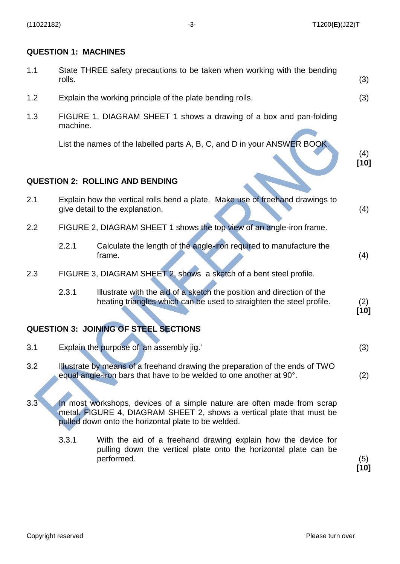#### **QUESTION 1: MACHINES**

| 1.1 | rolls.                                                                         | State THREE safety precautions to be taken when working with the bending                                                                                                                                | (3)           |
|-----|--------------------------------------------------------------------------------|---------------------------------------------------------------------------------------------------------------------------------------------------------------------------------------------------------|---------------|
| 1.2 |                                                                                | Explain the working principle of the plate bending rolls.                                                                                                                                               | (3)           |
| 1.3 | FIGURE 1, DIAGRAM SHEET 1 shows a drawing of a box and pan-folding<br>machine. |                                                                                                                                                                                                         |               |
|     |                                                                                | List the names of the labelled parts A, B, C, and D in your ANSWER BOOK.                                                                                                                                | (4)<br>$[10]$ |
|     |                                                                                | <b>QUESTION 2: ROLLING AND BENDING</b>                                                                                                                                                                  |               |
| 2.1 |                                                                                | Explain how the vertical rolls bend a plate. Make use of freehand drawings to<br>give detail to the explanation.                                                                                        | (4)           |
| 2.2 |                                                                                | FIGURE 2, DIAGRAM SHEET 1 shows the top view of an angle-iron frame.                                                                                                                                    |               |
|     | 2.2.1                                                                          | Calculate the length of the angle-iron required to manufacture the<br>frame.                                                                                                                            | (4)           |
| 2.3 |                                                                                | FIGURE 3, DIAGRAM SHEET 2, shows a sketch of a bent steel profile.                                                                                                                                      |               |
|     | 2.3.1                                                                          | Illustrate with the aid of a sketch the position and direction of the<br>heating triangles which can be used to straighten the steel profile.                                                           | (2)<br>$[10]$ |
|     |                                                                                | <b>QUESTION 3: JOINING OF STEEL SECTIONS</b>                                                                                                                                                            |               |
| 3.1 |                                                                                | Explain the purpose of 'an assembly jig.'                                                                                                                                                               | (3)           |
| 3.2 |                                                                                | Illustrate by means of a freehand drawing the preparation of the ends of TWO<br>equal angle-iron bars that have to be welded to one another at 90°.                                                     | (2)           |
| 3.3 |                                                                                | In most workshops, devices of a simple nature are often made from scrap<br>metal. FIGURE 4, DIAGRAM SHEET 2, shows a vertical plate that must be<br>pulled down onto the horizontal plate to be welded. |               |
|     | 3.3.1                                                                          | With the aid of a freehand drawing explain how the device for<br>pulling down the vertical plate onto the horizontal plate can be<br>performed.                                                         | (5)<br>$[10]$ |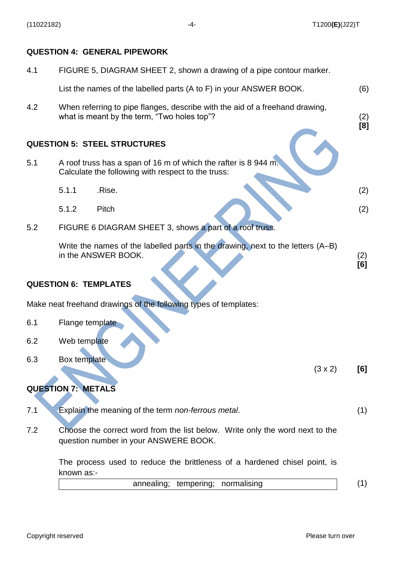#### **QUESTION 4: GENERAL PIPEWORK**

| 4.1 | FIGURE 5, DIAGRAM SHEET 2, shown a drawing of a pipe contour marker.                                                        |            |  |  |
|-----|-----------------------------------------------------------------------------------------------------------------------------|------------|--|--|
|     | List the names of the labelled parts (A to F) in your ANSWER BOOK.                                                          | (6)        |  |  |
| 4.2 | When referring to pipe flanges, describe with the aid of a freehand drawing,<br>what is meant by the term, "Two holes top"? |            |  |  |
|     | <b>QUESTION 5: STEEL STRUCTURES</b>                                                                                         |            |  |  |
| 5.1 | A roof truss has a span of 16 m of which the rafter is 8 944 m.<br>Calculate the following with respect to the truss:       |            |  |  |
|     | 5.1.1<br>.Rise.                                                                                                             | (2)        |  |  |
|     | 5.1.2<br>Pitch                                                                                                              | (2)        |  |  |
| 5.2 | FIGURE 6 DIAGRAM SHEET 3, shows a part of a roof truss.                                                                     |            |  |  |
|     | Write the names of the labelled parts in the drawing, next to the letters (A-B)<br>in the ANSWER BOOK.                      | (2)<br>[6] |  |  |
|     | <b>QUESTION 6: TEMPLATES</b>                                                                                                |            |  |  |
|     | Make neat freehand drawings of the following types of templates:                                                            |            |  |  |
| 6.1 | Flange template                                                                                                             |            |  |  |
| 6.2 | Web template                                                                                                                |            |  |  |
| 6.3 | <b>Box template</b><br>$(3 \times 2)$                                                                                       | [6]        |  |  |
|     | <b>QUESTION 7: METALS</b>                                                                                                   |            |  |  |
| 7.1 | Explain the meaning of the term non-ferrous metal.                                                                          | (1)        |  |  |
| 7.2 | Choose the correct word from the list below. Write only the word next to the<br>question number in your ANSWERE BOOK.       |            |  |  |
|     | The process used to reduce the brittleness of a hardened chisel point, is<br>known as:-                                     |            |  |  |
|     | annealing; tempering; normalising                                                                                           | (1)        |  |  |
|     |                                                                                                                             |            |  |  |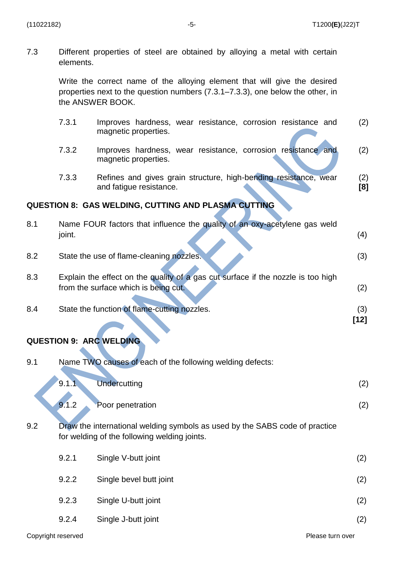7.3 Different properties of steel are obtained by alloying a metal with certain elements.

> Write the correct name of the alloying element that will give the desired properties next to the question numbers (7.3.1–7.3.3), one below the other, in the ANSWER BOOK.

|     | 7.3.1  | Improves hardness, wear resistance, corrosion resistance and<br>magnetic properties.                                        | (2)           |
|-----|--------|-----------------------------------------------------------------------------------------------------------------------------|---------------|
|     | 7.3.2  | Improves hardness, wear resistance, corrosion resistance and<br>magnetic properties.                                        | (2)           |
|     | 7.3.3  | Refines and gives grain structure, high-bending resistance, wear<br>and fatigue resistance.                                 | (2)<br>[8]    |
|     |        | <b>QUESTION 8: GAS WELDING, CUTTING AND PLASMA CUTTING</b>                                                                  |               |
| 8.1 | joint. | Name FOUR factors that influence the quality of an oxy-acetylene gas weld                                                   | (4)           |
| 8.2 |        | State the use of flame-cleaning nozzles.                                                                                    | (3)           |
| 8.3 |        | Explain the effect on the quality of a gas cut surface if the nozzle is too high<br>from the surface which is being cut.    | (2)           |
| 8.4 |        | State the function of flame-cutting nozzles.                                                                                | (3)<br>$[12]$ |
|     |        | <b>QUESTION 9: ARC WELDING</b>                                                                                              |               |
| 9.1 |        | Name TWO causes of each of the following welding defects:                                                                   |               |
|     | 9.1.1  | <b>Undercutting</b>                                                                                                         | (2)           |
|     | 9.1.2  | Poor penetration                                                                                                            | (2)           |
| 9.2 |        | Draw the international welding symbols as used by the SABS code of practice<br>for welding of the following welding joints. |               |
|     | 9.2.1  | Single V-butt joint                                                                                                         | (2)           |
|     | 9.2.2  | Single bevel butt joint                                                                                                     | (2)           |
|     | 9.2.3  | Single U-butt joint                                                                                                         | (2)           |
|     |        |                                                                                                                             |               |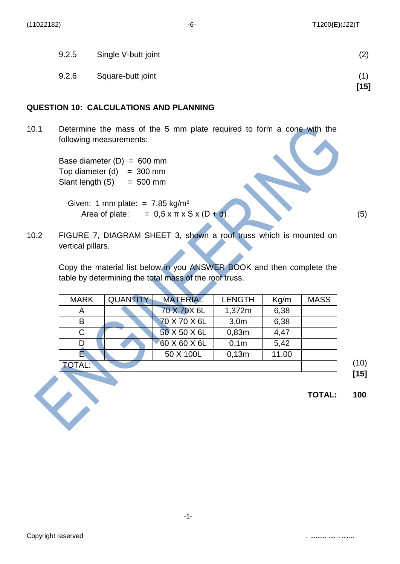| 9.2.6 | Square-butt joint   | (1)<br>$[15]$ |
|-------|---------------------|---------------|
| 9.2.5 | Single V-butt joint | (2)           |

#### **QUESTION 10: CALCULATIONS AND PLANNING**

10.1 Determine the mass of the 5 mm plate required to form a cone with the following measurements:

> Base diameter  $(D) = 600$  mm Top diameter  $(d) = 300$  mm Slant length  $(S) = 500$  mm

Given: 1 mm plate: =  $7,85$  kg/m<sup>2</sup> Area of plate:  $= 0.5 \times \pi \times S \times (D + d)$  (5)

10.2 FIGURE 7, DIAGRAM SHEET 3, shown a roof truss which is mounted on vertical pillars.

Copy the material list below in you ANSWER BOOK and then complete the table by determining the total mass of the roof truss.

| <b>MARK</b>   | <b>QUANTITY</b> | <b>MATERIAL</b> | <b>LENGTH</b> | Kg/m  | <b>MASS</b> |
|---------------|-----------------|-----------------|---------------|-------|-------------|
| Α             |                 | 70 X 70 X 6L    | 1,372m        | 6,38  |             |
| B             |                 | 70 X 70 X 6L    | 3,0m          | 6,38  |             |
| C             |                 | 50 X 50 X 6L    | 0,83m         | 4,47  |             |
|               |                 | 60 X 60 X 6L    | 0,1m          | 5,42  |             |
| E.            |                 | 50 X 100L       | 0,13m         | 11,00 |             |
| <b>TOTAL:</b> |                 |                 |               |       |             |

(10) **[15]**

**TOTAL: 100**

Copyright reserved Please turn over the companion of the companion of the companion over the companion over the companion of the companion of the companion of the companion of the companion of the companion of the companio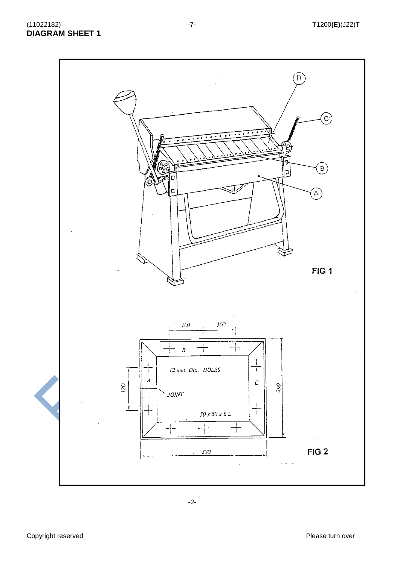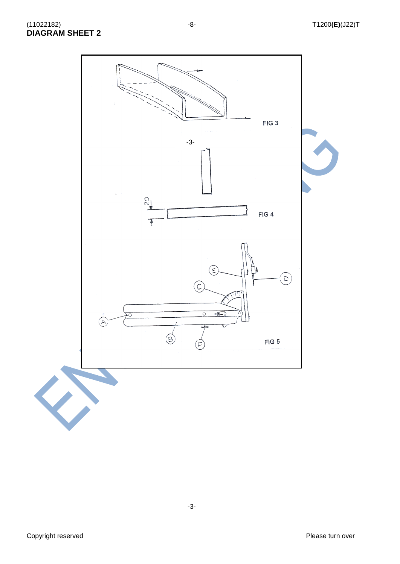